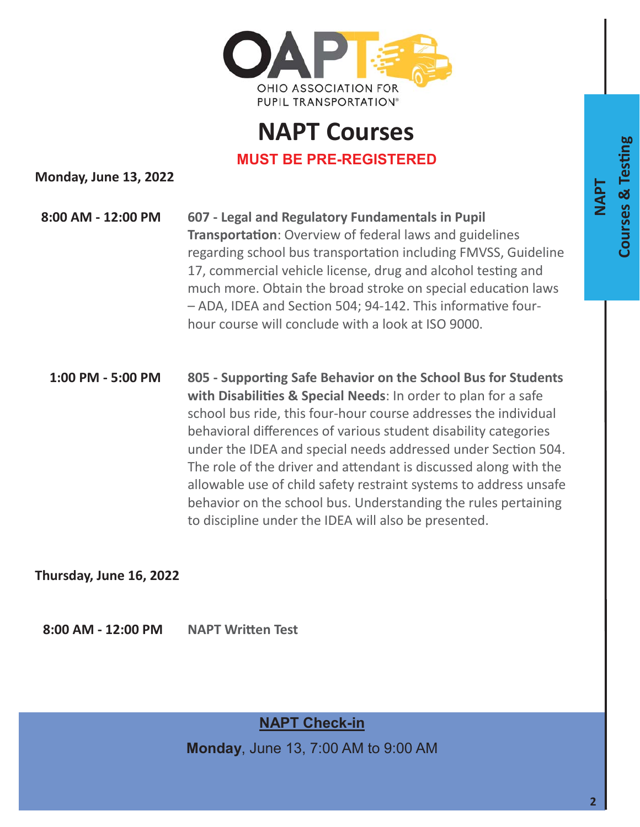

## **NAPT Courses MUST BE PRE-REGISTERED**

**Monday, June 13, 2022** 

**8:00 AM - 12:00 PM 607 - Legal and Regulatory Fundamentals in Pupil Transportation**: Overview of federal laws and guidelines regarding school bus transportation including FMVSS, Guideline 17, commercial vehicle license, drug and alcohol testing and much more. Obtain the broad stroke on special education laws – ADA, IDEA and Section 504; 94-142. This informative fourhour course will conclude with a look at ISO 9000.

**1:00 PM - 5:00 PM 805 - SupporƟng Safe Behavior on the School Bus for Students**  with Disabilities & Special Needs: In order to plan for a safe school bus ride, this four-hour course addresses the individual behavioral differences of various student disability categories under the IDEA and special needs addressed under Section 504. The role of the driver and attendant is discussed along with the allowable use of child safety restraint systems to address unsafe behavior on the school bus. Understanding the rules pertaining to discipline under the IDEA will also be presented.

**Thursday, June 16, 2022** 

**8:00 AM - 12:00 PM NAPT WriƩen Test**

**NAPT Check-in** 

**Monday**, June 13, 7:00 AM to 9:00 AM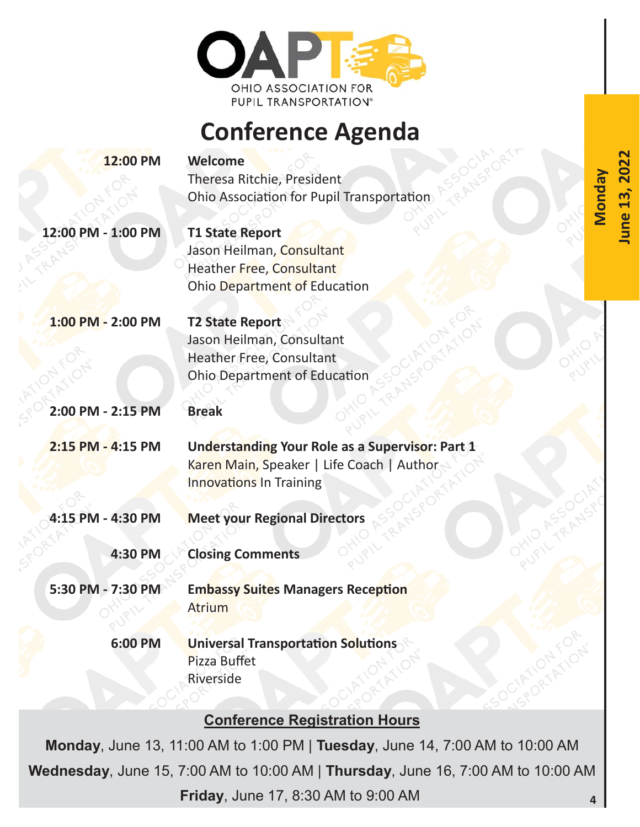

## **Conference Agenda**

**June 13, 2022** 

**June 13,** 

202

| 12:00 PM           | <b>Welcome</b><br><b>Monday</b><br>Theresa Ritchie, President<br>Ohio Association for Pupil Transportation                     |
|--------------------|--------------------------------------------------------------------------------------------------------------------------------|
| 12:00 PM - 1:00 PM | <b>T1 State Report</b><br>Jason Heilman, Consultant<br>Heather Free, Consultant<br>Ohio Department of Education                |
| 1:00 PM - 2:00 PM  | <b>T2 State Report</b><br>Jason Heilman, Consultant<br>Heather Free, Consultant<br><b>Ohio Department of Education</b>         |
| 2:00 PM - 2:15 PM  | <b>Break</b>                                                                                                                   |
| 2:15 PM - 4:15 PM  | Understanding Your Role as a Supervisor: Part 1<br>Karen Main, Speaker   Life Coach   Author<br><b>Innovations In Training</b> |
| 4:15 PM - 4:30 PM  | <b>Meet your Regional Directors</b>                                                                                            |
| 4:30 PM            | <b>Closing Comments</b>                                                                                                        |
| 5:30 PM - 7:30 PM  | <b>Embassy Suites Managers Reception</b><br><b>Atrium</b>                                                                      |
| 6:00 PM            | <b>Universal Transportation Solutions</b><br>Pizza Buffet<br>Riverside                                                         |

and the first company of the first of

## **Conference Registration Hours**

**Monday**, June 13, 11:00 AM to 1:00 PM | **Tuesday**, June 14, 7:00 AM to 10:00 AM **Wednesday**, June 15, 7:00 AM to 10:00 AM | **Thursday**, June 16, 7:00 AM to 10:00 AM **Friday**, June 17, 8:30 AM to 9:00 AM **4**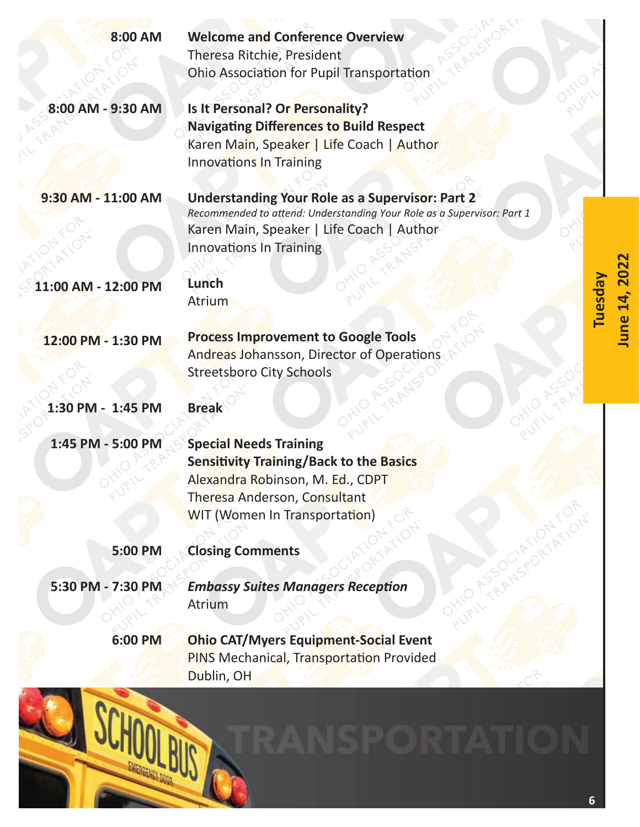| 8:00 AM             | <b>Welcome and Conference Overview</b>                                                                        |         |
|---------------------|---------------------------------------------------------------------------------------------------------------|---------|
|                     | Theresa Ritchie, President                                                                                    |         |
|                     | Ohio Association for Pupil Transportation                                                                     |         |
| 8:00 AM - 9:30 AM   | Is It Personal? Or Personality?                                                                               |         |
|                     | <b>Navigating Differences to Build Respect</b>                                                                |         |
|                     | Karen Main, Speaker   Life Coach   Author                                                                     |         |
|                     | <b>Innovations In Training</b>                                                                                |         |
| 9:30 AM - 11:00 AM  | <b>Understanding Your Role as a Supervisor: Part 2</b>                                                        |         |
|                     | Recommended to attend: Understanding Your Role as a Supervisor: Part 1                                        |         |
|                     | Karen Main, Speaker   Life Coach   Author                                                                     |         |
|                     | Innovations In Training                                                                                       |         |
|                     |                                                                                                               |         |
| 11:00 AM - 12:00 PM | Lunch<br>Atrium                                                                                               |         |
|                     |                                                                                                               | Tuesday |
| 12:00 PM - 1:30 PM  | <b>Process Improvement to Google Tools</b>                                                                    |         |
|                     | Andreas Johansson, Director of Operations                                                                     |         |
|                     | <b>Streetsboro City Schools</b>                                                                               |         |
|                     |                                                                                                               |         |
| 1:30 PM - 1:45 PM   | <b>Break</b>                                                                                                  |         |
| 1:45 PM - 5:00 PM   | <b>Special Needs Training</b>                                                                                 |         |
|                     | <b>Sensitivity Training/Back to the Basics</b>                                                                |         |
|                     | Alexandra Robinson, M. Ed., CDPT                                                                              |         |
|                     | Theresa Anderson, Consultant                                                                                  |         |
|                     | <b>WIT (Women In Transportation)</b>                                                                          |         |
|                     |                                                                                                               |         |
| 5:00 PM             | <b>Closing Comments</b>                                                                                       |         |
| 5:30 PM - 7:30 PM   | <b>Embassy Suites Managers Reception</b>                                                                      |         |
|                     | Atrium                                                                                                        |         |
|                     |                                                                                                               |         |
|                     |                                                                                                               |         |
|                     |                                                                                                               |         |
| 6:00 PM             | <b>Ohio CAT/Myers Equipment-Social Event</b><br><b>PINS Mechanical, Transportation Provided</b><br>Dublin, OH |         |
|                     |                                                                                                               |         |
|                     |                                                                                                               |         |
|                     |                                                                                                               |         |
|                     |                                                                                                               |         |

**June 14, 2022** 

June 14, 2022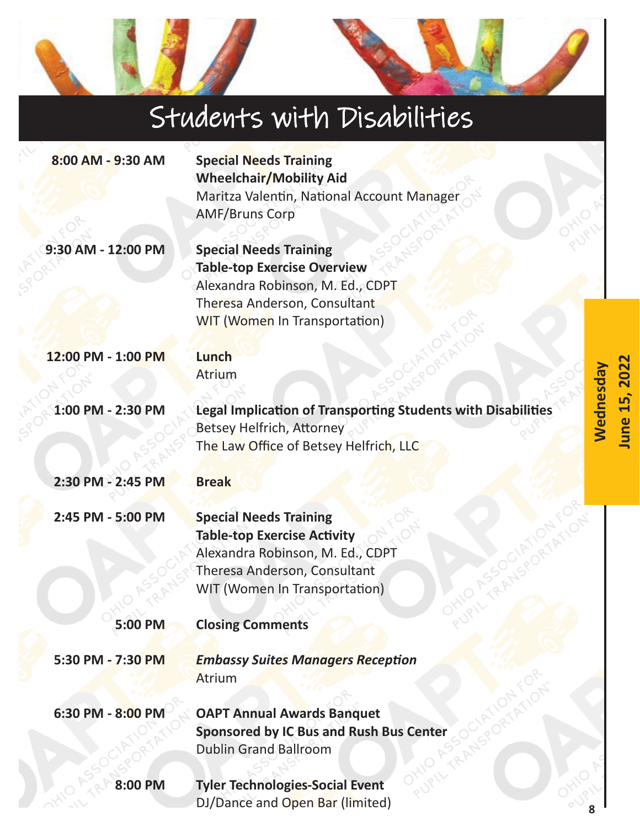## Students with Disabilities **8:00 AM - 9:30 AM Special Needs Training Wheelchair/Mobility Aid**  Maritza Valentin, National Account Manager AMF/Bruns Corp **9:30 AM - 12:00 PM Special Needs Training Table-top Exercise Overview**  Alexandra Robinson, M. Ed., CDPT Theresa Anderson, Consultant WIT (Women In Transportation) **12:00 PM - 1:00 PM Lunch Wednesday**  Wednesday Atrium **1:00 PM - 2:30 PM Legal Implication of Transporting Students with Disabilities** Betsey Helfrich, Attorney The Law Office of Betsey Helfrich, LLC **2:30 PM - 2:45 PM Break 2:45 PM - 5:00 PM Special Needs Training Table-top Exercise Activity** Alexandra Robinson, M. Ed., CDPT Theresa Anderson, Consultant WIT (Women In Transportation) **5:00 PM Closing Comments 5:30 PM - 7:30 PM**  *Embassy Suites Managers Reception* Atrium **6:30 PM - 8:00 PM OAPT Annual Awards Banquet Sponsored by IC Bus and Rush Bus Center**  Dublin Grand Ballroom **8:00 PM Tyler Technologies-Social Event**  DJ/Dance and Open Bar (limited)

**8** 

**June 15, 2022** 

une 15, 202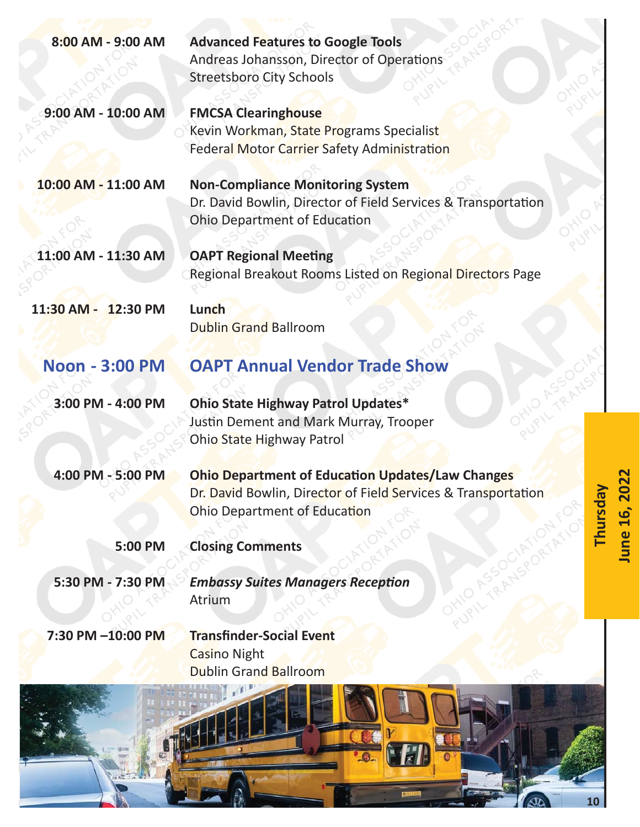| 8:00 AM - 9:00 AM     | <b>Advanced Features to Google Tools</b><br>Andreas Johansson, Director of Operations<br><b>Streetsboro City Schools</b>                                 |                |
|-----------------------|----------------------------------------------------------------------------------------------------------------------------------------------------------|----------------|
| 9:00 AM - 10:00 AM    | <b>FMCSA Clearinghouse</b><br>Kevin Workman, State Programs Specialist<br><b>Federal Motor Carrier Safety Administration</b>                             |                |
| 10:00 AM - 11:00 AM   | <b>Non-Compliance Monitoring System</b><br>Dr. David Bowlin, Director of Field Services & Transportation<br><b>Ohio Department of Education</b>          |                |
| 11:00 AM - 11:30 AM   | <b>OAPT Regional Meeting</b><br>Regional Breakout Rooms Listed on Regional Directors Page                                                                |                |
| 11:30 AM - 12:30 PM   | Lunch<br><b>Dublin Grand Ballroom</b>                                                                                                                    |                |
| <b>Noon - 3:00 PM</b> | <b>OAPT Annual Vendor Trade Show</b>                                                                                                                     |                |
| 3:00 PM - 4:00 PM     | <b>Ohio State Highway Patrol Updates*</b><br>Justin Dement and Mark Murray, Trooper<br>Ohio State Highway Patrol                                         |                |
| 4:00 PM - 5:00 PM     | <b>Ohio Department of Education Updates/Law Changes</b><br>Dr. David Bowlin, Director of Field Services & Transportation<br>Ohio Department of Education | <b>Thursda</b> |
| 5:00 PM               | <b>Closing Comments</b>                                                                                                                                  |                |
| 5:30 PM - 7:30 PM     | <b>Embassy Suites Managers Reception</b><br>Atrium                                                                                                       |                |
| 7:30 PM -10:00 PM     | <b>Transfinder-Social Event</b><br><b>Casino Night</b><br><b>Dublin Grand Ballroom</b>                                                                   |                |
|                       |                                                                                                                                                          |                |



**June 16, 2022**  June 16, 2022